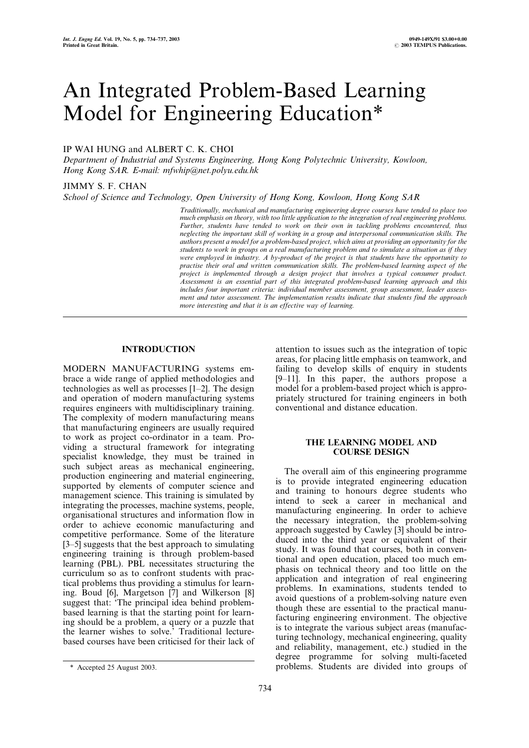# An Integrated Problem-Based Learning Model for Engineering Education\*

# IP WAI HUNG and ALBERT C. K. CHOI

Department of Industrial and Systems Engineering, Hong Kong Polytechnic University, Kowloon, Hong Kong SAR. E-mail: mfwhip@net.polyu.edu.hk

## JIMMY S. F. CHAN

School of Science and Technology, Open University of Hong Kong, Kowloon, Hong Kong SAR

Traditionally, mechanical and manufacturing engineering degree courses have tended to place too much emphasis on theory, with too little application to the integration of real engineering problems. Further, students have tended to work on their own in tackling problems encountered, thus neglecting the important skill of working in a group and interpersonal communication skills. The authors present a model for a problem-based project, which aims at providing an opportunity for the students to work in groups on a real manufacturing problem and to simulate a situation as if they were employed in industry. A by-product of the project is that students have the opportunity to practise their oral and written communication skills. The problem-based learning aspect of the project is implemented through a design project that involves a typical consumer product. Assessment is an essential part of this integrated problem-based learning approach and this includes four important criteria: individual member assessment, group assessment, leader assessment and tutor assessment. The implementation results indicate that students find the approach more interesting and that it is an effective way of learning.

# INTRODUCTION

MODERN MANUFACTURING systems embrace a wide range of applied methodologies and technologies as well as processes  $[1-2]$ . The design and operation of modern manufacturing systems requires engineers with multidisciplinary training. The complexity of modern manufacturing means that manufacturing engineers are usually required to work as project co-ordinator in a team. Providing a structural framework for integrating specialist knowledge, they must be trained in such subject areas as mechanical engineering, production engineering and material engineering, supported by elements of computer science and management science. This training is simulated by integrating the processes, machine systems, people, organisational structures and information flow in order to achieve economic manufacturing and competitive performance. Some of the literature  $[3-5]$  suggests that the best approach to simulating engineering training is through problem-based learning (PBL). PBL necessitates structuring the curriculum so as to confront students with practical problems thus providing a stimulus for learning. Boud [6], Margetson [7] and Wilkerson [8] suggest that: `The principal idea behind problembased learning is that the starting point for learning should be a problem, a query or a puzzle that the learner wishes to solve.' Traditional lecturebased courses have been criticised for their lack of

attention to issues such as the integration of topic areas, for placing little emphasis on teamwork, and failing to develop skills of enquiry in students  $[9-11]$ . In this paper, the authors propose a model for a problem-based project which is appropriately structured for training engineers in both conventional and distance education.

### THE LEARNING MODEL AND COURSE DESIGN

The overall aim of this engineering programme is to provide integrated engineering education and training to honours degree students who intend to seek a career in mechanical and manufacturing engineering. In order to achieve the necessary integration, the problem-solving approach suggested by Cawley [3] should be introduced into the third year or equivalent of their study. It was found that courses, both in conventional and open education, placed too much emphasis on technical theory and too little on the application and integration of real engineering problems. In examinations, students tended to avoid questions of a problem-solving nature even though these are essential to the practical manufacturing engineering environment. The objective is to integrate the various subject areas (manufacturing technology, mechanical engineering, quality and reliability, management, etc.) studied in the degree programme for solving multi-faceted \* Accepted 25 August 2003. problems. Students are divided into groups of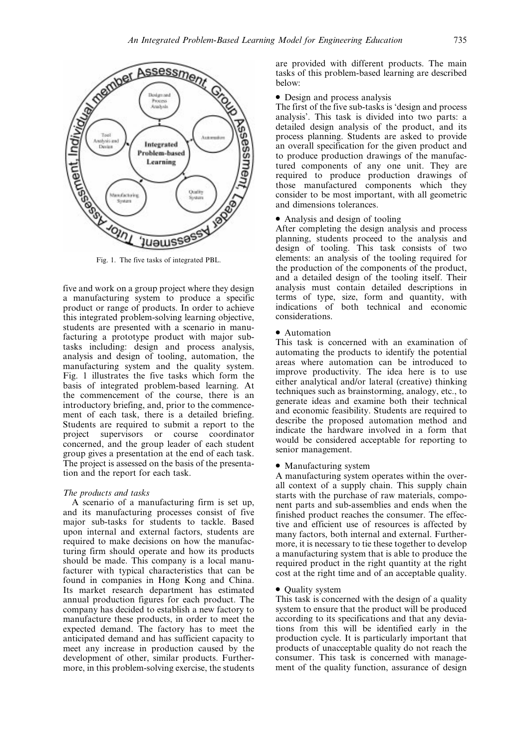

Fig. 1. The five tasks of integrated PBL.

five and work on a group project where they design a manufacturing system to produce a specific product or range of products. In order to achieve this integrated problem-solving learning objective, students are presented with a scenario in manufacturing a prototype product with major subtasks including: design and process analysis, analysis and design of tooling, automation, the manufacturing system and the quality system. Fig. 1 illustrates the five tasks which form the basis of integrated problem-based learning. At the commencement of the course, there is an introductory briefing, and, prior to the commencement of each task, there is a detailed briefing. Students are required to submit a report to the project supervisors or course coordinator concerned, and the group leader of each student group gives a presentation at the end of each task. The project is assessed on the basis of the presentation and the report for each task.

## The products and tasks

A scenario of a manufacturing firm is set up, and its manufacturing processes consist of five major sub-tasks for students to tackle. Based upon internal and external factors, students are required to make decisions on how the manufacturing firm should operate and how its products should be made. This company is a local manufacturer with typical characteristics that can be found in companies in Hong Kong and China. Its market research department has estimated annual production figures for each product. The company has decided to establish a new factory to manufacture these products, in order to meet the expected demand. The factory has to meet the anticipated demand and has sufficient capacity to meet any increase in production caused by the development of other, similar products. Furthermore, in this problem-solving exercise, the students

are provided with different products. The main tasks of this problem-based learning are described below:

• Design and process analysis

The first of the five sub-tasks is 'design and process analysis'. This task is divided into two parts: a detailed design analysis of the product, and its process planning. Students are asked to provide an overall specification for the given product and to produce production drawings of the manufactured components of any one unit. They are required to produce production drawings of those manufactured components which they consider to be most important, with all geometric and dimensions tolerances.

. Analysis and design of tooling

After completing the design analysis and process planning, students proceed to the analysis and design of tooling. This task consists of two elements: an analysis of the tooling required for the production of the components of the product, and a detailed design of the tooling itself. Their analysis must contain detailed descriptions in terms of type, size, form and quantity, with indications of both technical and economic considerations.

#### • Automation

This task is concerned with an examination of automating the products to identify the potential areas where automation can be introduced to improve productivity. The idea here is to use either analytical and/or lateral (creative) thinking techniques such as brainstorming, analogy, etc., to generate ideas and examine both their technical and economic feasibility. Students are required to describe the proposed automation method and indicate the hardware involved in a form that would be considered acceptable for reporting to senior management.

#### • Manufacturing system

A manufacturing system operates within the overall context of a supply chain. This supply chain starts with the purchase of raw materials, component parts and sub-assemblies and ends when the finished product reaches the consumer. The effective and efficient use of resources is affected by many factors, both internal and external. Furthermore, it is necessary to tie these together to develop a manufacturing system that is able to produce the required product in the right quantity at the right cost at the right time and of an acceptable quality.

# • Quality system

This task is concerned with the design of a quality system to ensure that the product will be produced according to its specifications and that any deviations from this will be identified early in the production cycle. It is particularly important that products of unacceptable quality do not reach the consumer. This task is concerned with management of the quality function, assurance of design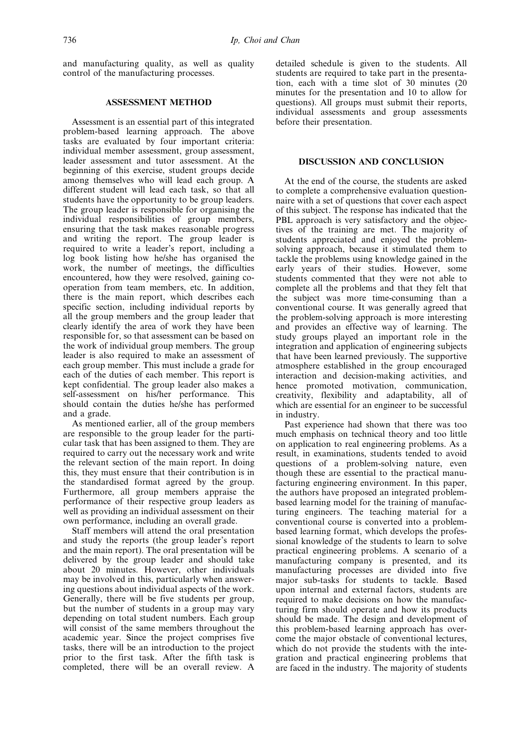and manufacturing quality, as well as quality control of the manufacturing processes.

## ASSESSMENT METHOD

Assessment is an essential part of this integrated problem-based learning approach. The above tasks are evaluated by four important criteria: individual member assessment, group assessment, leader assessment and tutor assessment. At the beginning of this exercise, student groups decide among themselves who will lead each group. A different student will lead each task, so that all students have the opportunity to be group leaders. The group leader is responsible for organising the individual responsibilities of group members, ensuring that the task makes reasonable progress and writing the report. The group leader is required to write a leader's report, including a log book listing how he/she has organised the work, the number of meetings, the difficulties encountered, how they were resolved, gaining cooperation from team members, etc. In addition, there is the main report, which describes each specific section, including individual reports by all the group members and the group leader that clearly identify the area of work they have been responsible for, so that assessment can be based on the work of individual group members. The group leader is also required to make an assessment of each group member. This must include a grade for each of the duties of each member. This report is kept confidential. The group leader also makes a self-assessment on his/her performance. This should contain the duties he/she has performed and a grade.

As mentioned earlier, all of the group members are responsible to the group leader for the particular task that has been assigned to them. They are required to carry out the necessary work and write the relevant section of the main report. In doing this, they must ensure that their contribution is in the standardised format agreed by the group. Furthermore, all group members appraise the performance of their respective group leaders as well as providing an individual assessment on their own performance, including an overall grade.

Staff members will attend the oral presentation and study the reports (the group leader's report and the main report). The oral presentation will be delivered by the group leader and should take about 20 minutes. However, other individuals may be involved in this, particularly when answering questions about individual aspects of the work. Generally, there will be five students per group, but the number of students in a group may vary depending on total student numbers. Each group will consist of the same members throughout the academic year. Since the project comprises five tasks, there will be an introduction to the project prior to the first task. After the fifth task is completed, there will be an overall review. A

detailed schedule is given to the students. All students are required to take part in the presentation, each with a time slot of 30 minutes (20 minutes for the presentation and 10 to allow for questions). All groups must submit their reports, individual assessments and group assessments before their presentation.

## DISCUSSION AND CONCLUSION

At the end of the course, the students are asked to complete a comprehensive evaluation questionnaire with a set of questions that cover each aspect of this subject. The response has indicated that the PBL approach is very satisfactory and the objectives of the training are met. The majority of students appreciated and enjoyed the problemsolving approach, because it stimulated them to tackle the problems using knowledge gained in the early years of their studies. However, some students commented that they were not able to complete all the problems and that they felt that the subject was more time-consuming than a conventional course. It was generally agreed that the problem-solving approach is more interesting and provides an effective way of learning. The study groups played an important role in the integration and application of engineering subjects that have been learned previously. The supportive atmosphere established in the group encouraged interaction and decision-making activities, and hence promoted motivation, communication, creativity, flexibility and adaptability, all of which are essential for an engineer to be successful in industry.

Past experience had shown that there was too much emphasis on technical theory and too little on application to real engineering problems. As a result, in examinations, students tended to avoid questions of a problem-solving nature, even though these are essential to the practical manufacturing engineering environment. In this paper, the authors have proposed an integrated problembased learning model for the training of manufacturing engineers. The teaching material for a conventional course is converted into a problembased learning format, which develops the professional knowledge of the students to learn to solve practical engineering problems. A scenario of a manufacturing company is presented, and its manufacturing processes are divided into five major sub-tasks for students to tackle. Based upon internal and external factors, students are required to make decisions on how the manufacturing firm should operate and how its products should be made. The design and development of this problem-based learning approach has overcome the major obstacle of conventional lectures, which do not provide the students with the integration and practical engineering problems that are faced in the industry. The majority of students